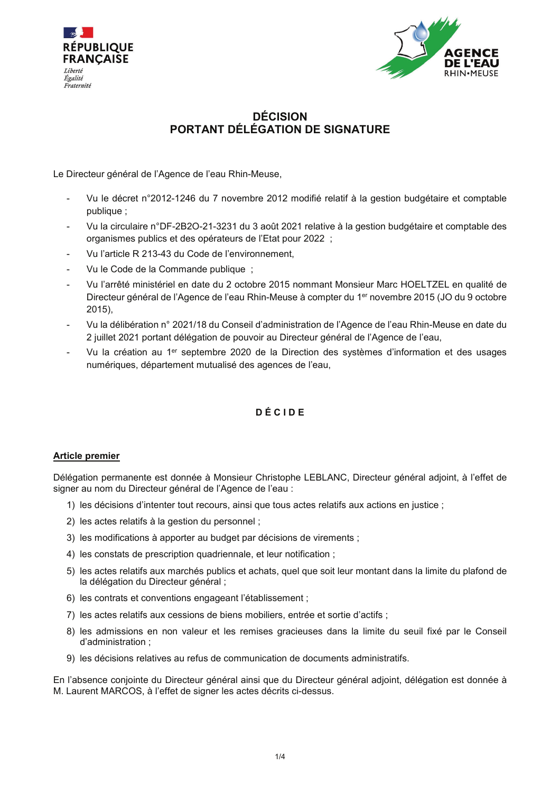



# **DÉCISION** PORTANT DÉLÉGATION DE SIGNATURE

Le Directeur général de l'Agence de l'eau Rhin-Meuse,

- Vu le décret n°2012-1246 du 7 novembre 2012 modifié relatif à la gestion budgétaire et comptable publique ;
- Vu la circulaire n°DF-2B2O-21-3231 du 3 août 2021 relative à la gestion budgétaire et comptable des organismes publics et des opérateurs de l'Etat pour 2022 ;
- Vu l'article R 213-43 du Code de l'environnement.
- Vu le Code de la Commande publique ;
- Vu l'arrêté ministériel en date du 2 octobre 2015 nommant Monsieur Marc HOELTZEL en qualité de Directeur général de l'Agence de l'eau Rhin-Meuse à compter du 1<sup>er</sup> novembre 2015 (JO du 9 octobre  $2015$ ).
- Vu la délibération n° 2021/18 du Conseil d'administration de l'Agence de l'eau Rhin-Meuse en date du 2 juillet 2021 portant délégation de pouvoir au Directeur général de l'Agence de l'eau,
- Vu la création au 1<sup>er</sup> septembre 2020 de la Direction des systèmes d'information et des usages numériques, département mutualisé des agences de l'eau,

## DÉCIDE

## **Article premier**

Délégation permanente est donnée à Monsieur Christophe LEBLANC, Directeur général adjoint, à l'effet de signer au nom du Directeur général de l'Agence de l'eau :

- 1) les décisions d'intenter tout recours, ainsi que tous actes relatifs aux actions en justice ;
- 2) les actes relatifs à la gestion du personnel :
- 3) les modifications à apporter au budget par décisions de virements ;
- 4) les constats de prescription quadriennale, et leur notification ;
- 5) les actes relatifs aux marchés publics et achats, quel que soit leur montant dans la limite du plafond de la délégation du Directeur général ;
- 6) les contrats et conventions engageant l'établissement ;
- 7) les actes relatifs aux cessions de biens mobiliers, entrée et sortie d'actifs ;
- 8) les admissions en non valeur et les remises gracieuses dans la limite du seuil fixé par le Conseil d'administration ;
- 9) les décisions relatives au refus de communication de documents administratifs.

En l'absence conjointe du Directeur général ainsi que du Directeur général adjoint, délégation est donnée à M. Laurent MARCOS, à l'effet de signer les actes décrits ci-dessus.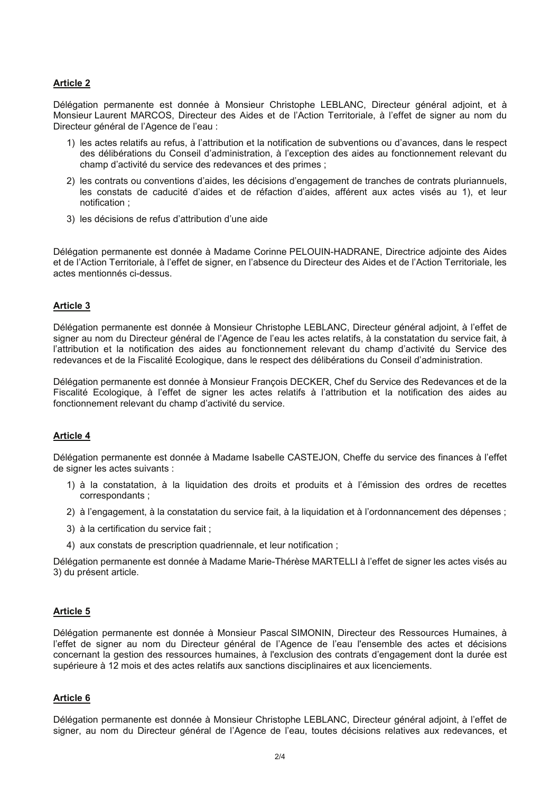## **Article 2**

Délégation permanente est donnée à Monsieur Christophe LEBLANC, Directeur général adjoint, et à Monsieur Laurent MARCOS, Directeur des Aides et de l'Action Territoriale, à l'effet de signer au nom du Directeur général de l'Agence de l'eau :

- 1) les actes relatifs au refus, à l'attribution et la notification de subventions ou d'avances, dans le respect des délibérations du Conseil d'administration, à l'exception des aides au fonctionnement relevant du champ d'activité du service des redevances et des primes ;
- 2) les contrats ou conventions d'aides, les décisions d'engagement de tranches de contrats pluriannuels, les constats de caducité d'aides et de réfaction d'aides, afférent aux actes visés au 1), et leur notification:
- 3) les décisions de refus d'attribution d'une aide

Délégation permanente est donnée à Madame Corinne PELOUIN-HADRANE, Directrice adjointe des Aides et de l'Action Territoriale, à l'effet de signer, en l'absence du Directeur des Aides et de l'Action Territoriale, les actes mentionnés ci-dessus.

#### **Article 3**

Délégation permanente est donnée à Monsieur Christophe LEBLANC. Directeur général adjoint, à l'effet de signer au nom du Directeur général de l'Agence de l'eau les actes relatifs, à la constatation du service fait, à l'attribution et la notification des aides au fonctionnement relevant du champ d'activité du Service des redevances et de la Fiscalité Ecologique, dans le respect des délibérations du Conseil d'administration.

Délégation permanente est donnée à Monsieur François DECKER, Chef du Service des Redevances et de la Fiscalité Ecologique, à l'effet de signer les actes relatifs à l'attribution et la notification des aides au fonctionnement relevant du champ d'activité du service.

#### **Article 4**

Délégation permanente est donnée à Madame Isabelle CASTEJON, Cheffe du service des finances à l'effet de signer les actes suivants :

- 1) à la constatation, à la liquidation des droits et produits et à l'émission des ordres de recettes correspondants:
- 2) à l'engagement, à la constatation du service fait, à la liquidation et à l'ordonnancement des dépenses ;
- 3) à la certification du service fait ;
- 4) aux constats de prescription quadriennale, et leur notification;

Délégation permanente est donnée à Madame Marie-Thérèse MARTELLI à l'effet de signer les actes visés au 3) du présent article.

#### **Article 5**

Délégation permanente est donnée à Monsieur Pascal SIMONIN, Directeur des Ressources Humaines, à l'effet de signer au nom du Directeur général de l'Agence de l'eau l'ensemble des actes et décisions concernant la gestion des ressources humaines, à l'exclusion des contrats d'engagement dont la durée est supérieure à 12 mois et des actes relatifs aux sanctions disciplinaires et aux licenciements.

#### Article 6

Délégation permanente est donnée à Monsieur Christophe LEBLANC, Directeur général adjoint, à l'effet de signer, au nom du Directeur général de l'Agence de l'eau, toutes décisions relatives aux redevances, et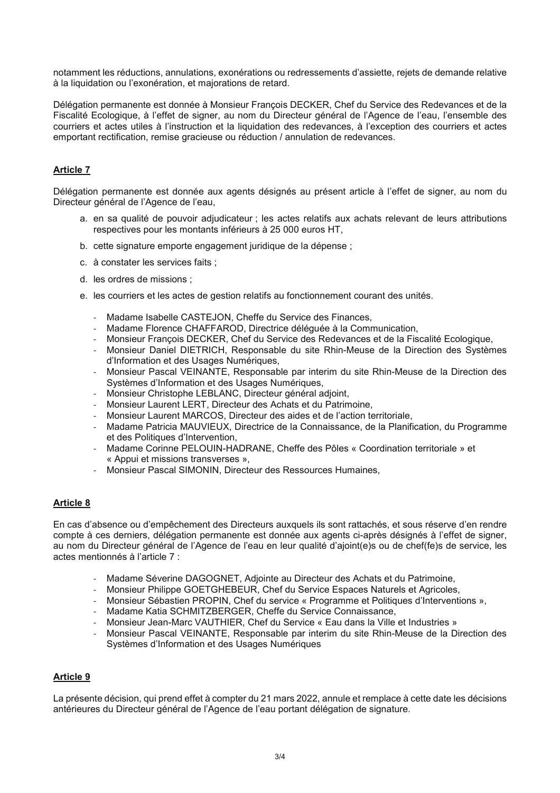notamment les réductions, annulations, exonérations ou redressements d'assiette, rejets de demande relative à la liquidation ou l'exonération, et majorations de retard.

Délégation permanente est donnée à Monsieur François DECKER, Chef du Service des Redevances et de la Fiscalité Ecologique, à l'effet de signer, au nom du Directeur général de l'Agence de l'eau, l'ensemble des courriers et actes utiles à l'instruction et la liquidation des redevances, à l'exception des courriers et actes emportant rectification, remise gracieuse ou réduction / annulation de redevances.

## **Article 7**

Délégation permanente est donnée aux agents désignés au présent article à l'effet de signer, au nom du Directeur général de l'Agence de l'eau,

- a. en sa qualité de pouvoir adjudicateur ; les actes relatifs aux achats relevant de leurs attributions respectives pour les montants inférieurs à 25 000 euros HT,
- b. cette signature emporte engagement juridique de la dépense ;
- c. à constater les services faits :
- d. les ordres de missions ;
- e. les courriers et les actes de gestion relatifs au fonctionnement courant des unités.
	- Madame Isabelle CASTEJON. Cheffe du Service des Finances.
	- Madame Florence CHAFFAROD. Directrice déléguée à la Communication.
	- Monsieur François DECKER, Chef du Service des Redevances et de la Fiscalité Ecologique,
	- Monsieur Daniel DIETRICH, Responsable du site Rhin-Meuse de la Direction des Systèmes d'Information et des Usages Numériques,
	- Monsieur Pascal VEINANTE, Responsable par interim du site Rhin-Meuse de la Direction des Systèmes d'Information et des Usages Numériques,
	- Monsieur Christophe LEBLANC, Directeur général adjoint,
	- Monsieur Laurent LERT. Directeur des Achats et du Patrimoine.
	- Monsieur Laurent MARCOS, Directeur des aides et de l'action territoriale.
	- Madame Patricia MAUVIEUX, Directrice de la Connaissance, de la Planification, du Programme et des Politiques d'Intervention,
	- Madame Corinne PELOUIN-HADRANE, Cheffe des Pôles « Coordination territoriale » et « Appui et missions transverses »,
	- Monsieur Pascal SIMONIN. Directeur des Ressources Humaines.

## **Article 8**

En cas d'absence ou d'empêchement des Directeurs auxquels ils sont rattachés, et sous réserve d'en rendre compte à ces derniers, délégation permanente est donnée aux agents ci-après désignés à l'effet de signer, au nom du Directeur général de l'Agence de l'eau en leur gualité d'ajoint(e)s ou de chef(fe)s de service, les actes mentionnés à l'article 7 :

- Madame Séverine DAGOGNET, Adjointe au Directeur des Achats et du Patrimoine,
- Monsieur Philippe GOETGHEBEUR, Chef du Service Espaces Naturels et Agricoles,
- Monsieur Sébastien PROPIN, Chef du service « Programme et Politiques d'Interventions »,
- Madame Katia SCHMITZBERGER, Cheffe du Service Connaissance,
- Monsieur Jean-Marc VAUTHIER, Chef du Service « Eau dans la Ville et Industries »
- Monsieur Pascal VEINANTE, Responsable par interim du site Rhin-Meuse de la Direction des Systèmes d'Information et des Usages Numériques

## **Article 9**

La présente décision, qui prend effet à compter du 21 mars 2022, annule et remplace à cette date les décisions antérieures du Directeur général de l'Agence de l'eau portant délégation de signature.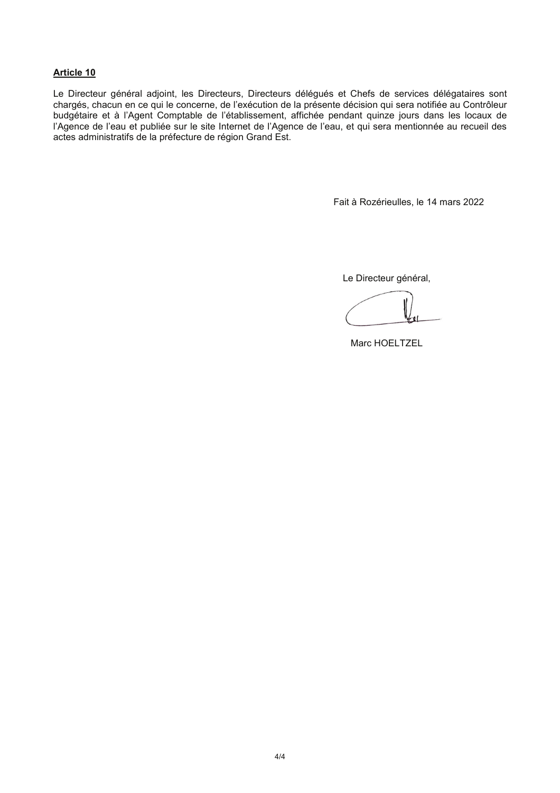### **Article 10**

Le Directeur général adjoint, les Directeurs, Directeurs délégués et Chefs de services délégataires sont chargés, chacun en ce qui le concerne, de l'exécution de la présente décision qui sera notifiée au Contrôleur budgétaire et à l'Agent Comptable de l'établissement, affichée pendant quinze jours dans les locaux de l'Agence de l'eau et publiée sur le site Internet de l'Agence de l'eau, et qui sera mentionnée au recueil des actes administratifs de la préfecture de région Grand Est.

Fait à Rozérieulles, le 14 mars 2022

Le Directeur général,

Marc HOELTZEL